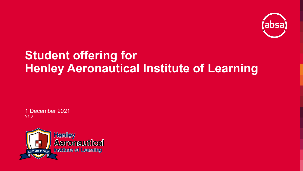

# **Student offering for Henley Aeronautical Institute of Learning**

1 December 2021 V1.3

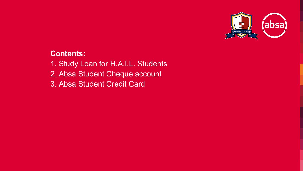

## **Contents:**

- 1. Study Loan for H.A.I.L. Students
- 2. Absa Student Cheque account
- 3. Absa Student Credit Card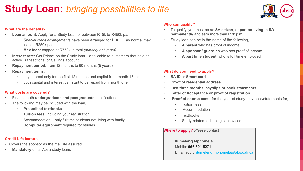## **Study Loan:** *bringing possibilities to life*



#### **What are the benefits?**

- **Loan amount:** Apply for a Study Loan of between R15k to R450k p.a.
	- *Special credit arrangements* have been arranged for **H.A.I.L.** as normal max loan is R250k pa
	- **Max loan:** capped at R750k in total *(subsequent years)*
- **Interest rate:** Get Prime\* on the Study loan applicable to customers that hold an active Transactional or Savings account
- **Repayment period:** from 12 months to 60 months (5 years)
- **Repayment terms**:
	- pay interest only for the first 12 months and capital from month 13, or
	- both capital and interest can start to be repaid from month one.

#### **What costs are covered?**

- Finance both **undergraduate and postgraduate** qualifications
- The following may be included with the loan,
	- **Prescribed textbooks**
	- **Tuition fees**, including your registration
	- Accommodation only fulltime students not living with family
	- **Computer equipment** required for studies

#### **Credit Life features**

- Covers the sponsor as the mail life assured
- **Mandatory** on all Absa study loans

#### **Who can qualify?**

- To qualify, you must be as **SA citizen**, or **person living in SA permanently** and earn more than R3k p.m.
- Study loan can be in the name of the following,
	- **A parent** who has proof of income
	- **A sponsor / guardian** who has proof of income
	- **A part time student**, who is full time employed

#### **What do you need to apply?**

- **SA ID** or **Smart card**
- **Proof of residential address**
- **Last three months' payslips or bank statements**
- **Letter of Acceptance or proof of registration**
- **Proof of course costs** for the year of study invoices/statements for,
	- Tuition fees
	- Accommodation
	- Textbooks
	- Study related technological devices

#### **Where to apply?** *Please contact*

**Itumeleng Mphomela** Mobile: **066 301 5271** Email addr: [itumeleng.mphomela@absa.africa](mailto:itumeleng.mphomela@absa.africa)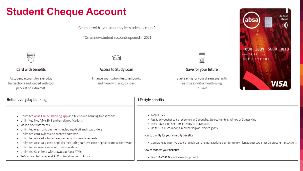# **Student Cheque Account**

Get more with a zero monthly fee student account\*.

\*On all new student accounts opened in 2021



#### Card with benefits

A student account for everyday transactions and loaded with cool perks at no extra cost.



#### Access to Study Loan

Finance your tuition fees, textbooks and more with a study loan.



Save for your future

Start saving for your dream goal with as little as R50 a month using TruSave.



#### Better everyday banking

### Lifestyle benefits

- . Unlimited Absa Online, Banking App and telephone banking transactions
- Unlimited NotifyMe SMS and email notifications
- Mailed or eStatements
- Unlimited electronic payments including debit and stop orders
- Unlimited card swipes and cash withdrawals
- Unlimited Absa ATM balance enquires and mini-statements
- . Unlimited Absa ATM cash deposits (excluding cardless cash deposits) and withdrawals
- . Unlimited internal electronic fund transfers
- Unlimited CashSend withdrawals at Absa ATMs
- 24/7 access to the largest ATM network in South Africa
- · 100MB data
- . R25 food voucher to be redeemed at Debonairs, Steers, Nando's, Wimpy or Burger King
- R150 travel voucher from Intercity or TravelStart
- Up to 30% discount on a membership at selected gyms

#### How to qualify for your monthly benefits

• Complete at least five debit or credit banking transactions per month of which at least two must be prepaid transactions

#### How to redeem your benefits

• Dial \*120\*3475# and follow the prompts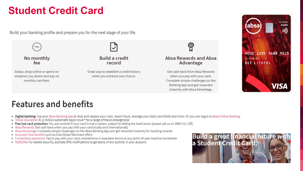## **Student Credit Card**

Build your banking profile and prepare you for the next stage of your life.



## **Features and benefits**

- . Digital banking: Use your Absa Banking App to stop and replace your card, report fraud, manage your daily card limits and more. Or you can logon to Absa Online Banking
- Travel insurance: R1.5 million automatic basic cover\* for a range of travel emergencies
- . Free lost card protection: You are covered if your card is lost or stolen, subject to letting the bank know (please call us on 0800 111 155)
- Absa Rewards: Get cash back when you pay with your card locally and internationally
- . Absa Advantage: Complete simple challenges on the Absa Banking App and get rewarded instantly for banking smarter
- Exclusive Visa benefits such as Visa Global Merchant offers
- Contactless payments: Tap to pay with your card, smartphone or wearable device at any point-of-sale machine worldwide
- NotifyMe: For added security, activate SMS notifications to get alerts of any activity in your account



instantly with Absa Advantage.

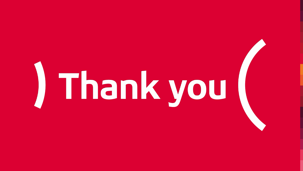# Thank you